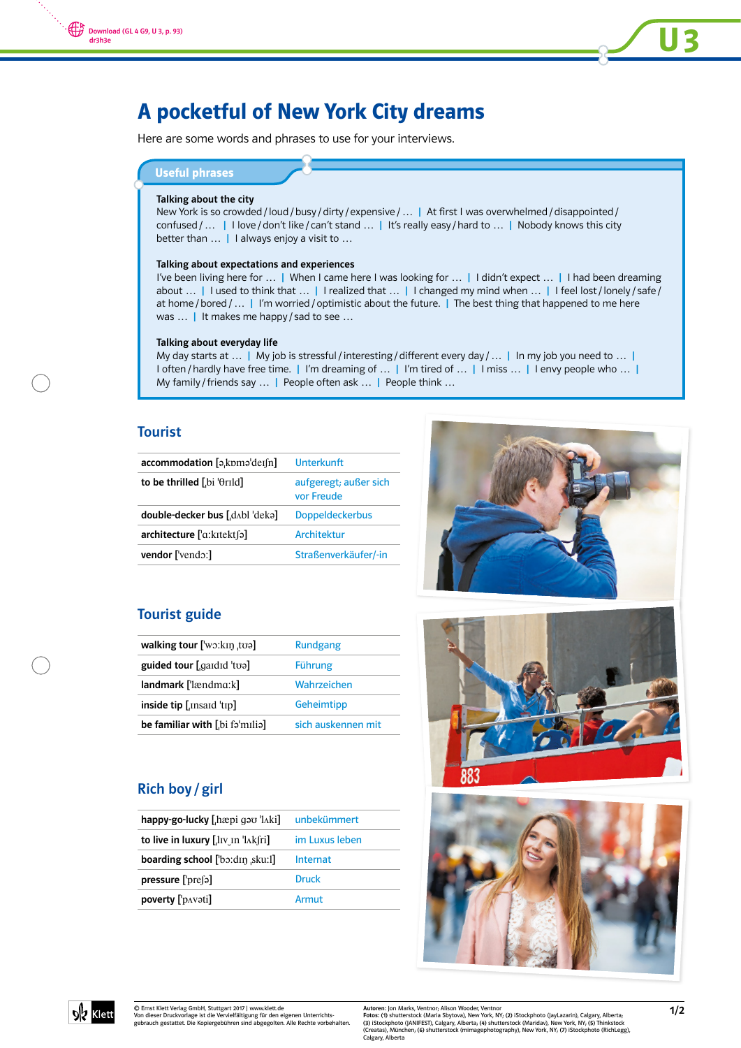

# A pocketful of New York City dreams

Here are some words and phrases to use for your interviews.

# Useful phrases

#### Talking about the city

New York is so crowded / loud / busy / dirty / expensive / ... | At first I was overwhelmed / disappointed / confused / ... | I love / don't like / can't stand ... | It's really easy / hard to ... | Nobody knows this city better than ... | I always enjoy a visit to ...

#### Talking about expectations and experiences

I've been living here for ... | When I came here I was looking for ... | I didn't expect ... | I had been dreaming about ... | I used to think that ... | I realized that ... | I changed my mind when ... | I feel lost / lonely / safe / at home / bored / ... | I'm worried / optimistic about the future. | The best thing that happened to me here was ... | It makes me happy / sad to see ...

#### Talking about everyday life

My day starts at ... | My job is stressful / interesting / different every day / ... | In my job you need to ... | I often / hardly have free time. | I'm dreaming of ... | I'm tired of ... | I miss ... | I envy people who ... | My family / friends say … | People often ask … | People think …

#### Tourist

| $\alpha$ ccommodation [a,kpma]der[n] | <b>Ilnterkunft</b>                  |
|--------------------------------------|-------------------------------------|
| to be thrilled [bi ' $\theta$ rild]  | aufgeregt; außer sich<br>vor Freude |
| double-decker bus [d^bl deka]        | <b>Doppeldeckerbus</b>              |
| architecture ['a:kɪtekt [ə]          | <b>Architektur</b>                  |
| <b>vendor</b> ['vendo:]              | Straßenverkäufer/-in                |

### Tourist guide

| walking tour $\lceil \text{w}_2 \cdot \text{k} \rceil$ to $\lceil \text{w}_2 \rceil$ | Rundgang           |
|--------------------------------------------------------------------------------------|--------------------|
| guided tour [gardid 'toa]                                                            | Führung            |
| landmark ['lændmɑ:k]                                                                 | Wahrzeichen        |
| inside tip $\left[ \right]$ [Insaid $\left[ \right]$                                 | Geheimtipp         |
| be familiar with [bi familia]                                                        | sich auskennen mit |

## Rich boy / girl

| happy-go-lucky [ $h$ æpi ga $v$ ' $h$ ki]                         | unbekümmert    |
|-------------------------------------------------------------------|----------------|
| to live in luxury $[$ , $\ln$ $\ln$ $\ln$ $\ln$ $\ln$ $\ln$ $\ln$ | im Luxus leben |
| <b>boarding school</b> ['bɔ:dɪŋ ˌsku:l]                           | Internat       |
| pressure ['presal]                                                | Druck          |
| poverty ['p^voti]                                                 | Armut          |









© Ernst Klett Verlag GmbH, Stuttgart 2017 | www.klett.de Von dieser Druckvorlage ist die Vervielfältigung für den eigenen Unterrichts-gebrauch gestattet. Die Kopiergebühren sind abgegolten. Alle Rechte vorbehalten.

Autoren: Jon Marks, Ventnor; Alison Wooder, Ventnor<br>**Foto**s: (1) shutterstock (Maria Sbytova), New York, NY; (2) iStockphoto (JayLazarin), Calgary, Alberta;<br>(3) iStockphoto (JANIFEST), Calgary, Alberta, (4) shutterstock (M Calgary, Alberta